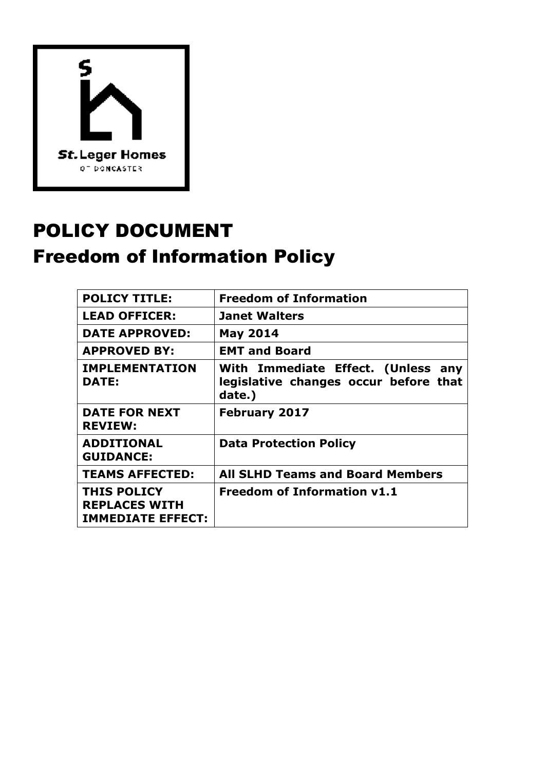

# POLICY DOCUMENT Freedom of Information Policy

| <b>POLICY TITLE:</b>                                                   | <b>Freedom of Information</b>                                                         |
|------------------------------------------------------------------------|---------------------------------------------------------------------------------------|
| <b>LEAD OFFICER:</b>                                                   | <b>Janet Walters</b>                                                                  |
| <b>DATE APPROVED:</b>                                                  | <b>May 2014</b>                                                                       |
| <b>APPROVED BY:</b>                                                    | <b>EMT and Board</b>                                                                  |
| <b>IMPLEMENTATION</b><br><b>DATE:</b>                                  | With Immediate Effect. (Unless any<br>legislative changes occur before that<br>date.) |
| <b>DATE FOR NEXT</b><br><b>REVIEW:</b>                                 | <b>February 2017</b>                                                                  |
| <b>ADDITIONAL</b><br><b>GUIDANCE:</b>                                  | <b>Data Protection Policy</b>                                                         |
| <b>TEAMS AFFECTED:</b>                                                 | <b>All SLHD Teams and Board Members</b>                                               |
| <b>THIS POLICY</b><br><b>REPLACES WITH</b><br><b>IMMEDIATE EFFECT:</b> | <b>Freedom of Information v1.1</b>                                                    |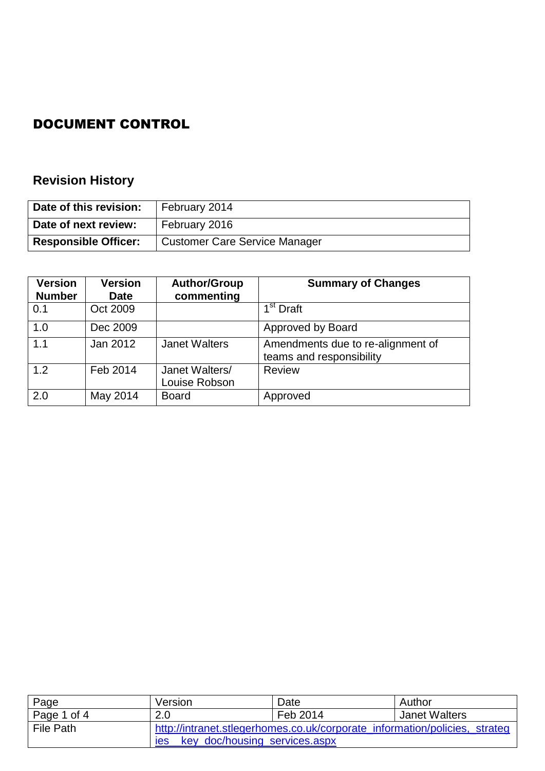## DOCUMENT CONTROL

## **Revision History**

| Date of this revision:      | February 2014                 |
|-----------------------------|-------------------------------|
| Date of next review:        | February 2016                 |
| <b>Responsible Officer:</b> | Customer Care Service Manager |

| <b>Version</b><br><b>Number</b> | <b>Version</b><br><b>Date</b> | <b>Author/Group</b><br>commenting | <b>Summary of Changes</b>                                     |
|---------------------------------|-------------------------------|-----------------------------------|---------------------------------------------------------------|
| 0.1                             | Oct 2009                      |                                   | 1 <sup>st</sup> Draft                                         |
| 1.0                             | Dec 2009                      |                                   | Approved by Board                                             |
| 1.1                             | Jan 2012                      | <b>Janet Walters</b>              | Amendments due to re-alignment of<br>teams and responsibility |
| 1.2                             | Feb 2014                      | Janet Walters/<br>Louise Robson   | Review                                                        |
| 2.0                             | May 2014                      | <b>Board</b>                      | Approved                                                      |

| Page                   | Version                                     | Date                                                                       | Author               |
|------------------------|---------------------------------------------|----------------------------------------------------------------------------|----------------------|
| $\vert$ Page 1 of 4    | 2.0                                         | Feb 2014                                                                   | <b>Janet Walters</b> |
| <sup>I</sup> File Path |                                             | http://intranet.stlegerhomes.co.uk/corporate_information/policies,_strateg |                      |
|                        | key_doc/housing_services.aspx<br><b>Ies</b> |                                                                            |                      |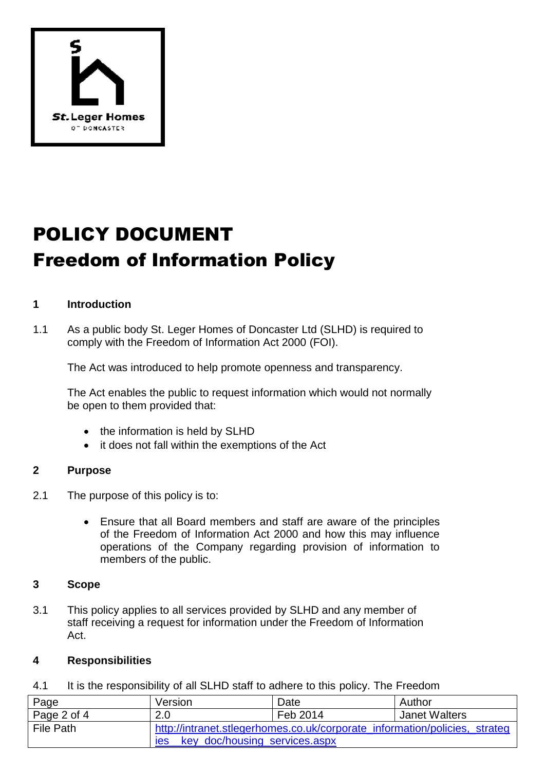

# POLICY DOCUMENT Freedom of Information Policy

### **1 Introduction**

1.1 As a public body St. Leger Homes of Doncaster Ltd (SLHD) is required to comply with the Freedom of Information Act 2000 (FOI).

The Act was introduced to help promote openness and transparency.

The Act enables the public to request information which would not normally be open to them provided that:

- the information is held by SLHD
- it does not fall within the exemptions of the Act

#### **2 Purpose**

- 2.1 The purpose of this policy is to:
	- Ensure that all Board members and staff are aware of the principles of the Freedom of Information Act 2000 and how this may influence operations of the Company regarding provision of information to members of the public.

#### **3 Scope**

3.1 This policy applies to all services provided by SLHD and any member of staff receiving a request for information under the Freedom of Information Act.

#### **4 Responsibilities**

4.1 It is the responsibility of all SLHD staff to adhere to this policy. The Freedom

| Page        | Version                                                                    | Date     | Author               |
|-------------|----------------------------------------------------------------------------|----------|----------------------|
| Page 2 of 4 | 2.0                                                                        | Feb 2014 | <b>Janet Walters</b> |
| File Path   | http://intranet.stlegerhomes.co.uk/corporate_information/policies,_strateg |          |                      |
|             | key_doc/housing_services.aspx<br>ies                                       |          |                      |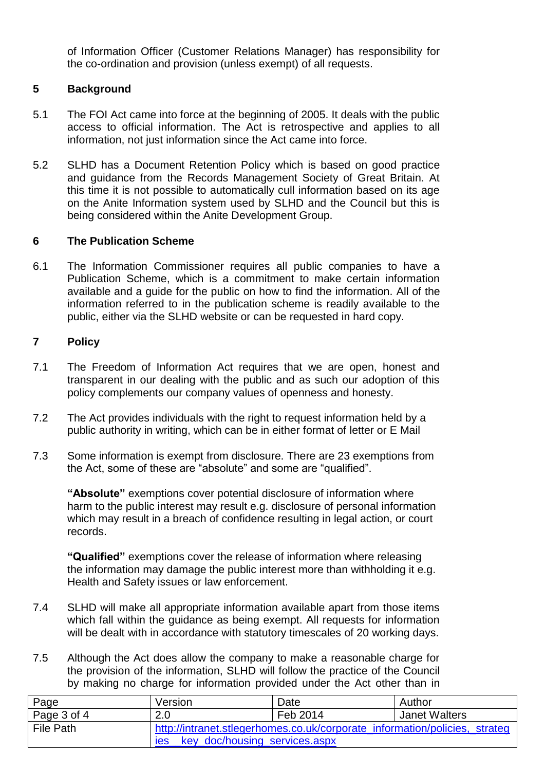of Information Officer (Customer Relations Manager) has responsibility for the co-ordination and provision (unless exempt) of all requests.

## **5 Background**

- 5.1 The FOI Act came into force at the beginning of 2005. It deals with the public access to official information. The Act is retrospective and applies to all information, not just information since the Act came into force.
- 5.2 SLHD has a Document Retention Policy which is based on good practice and guidance from the Records Management Society of Great Britain. At this time it is not possible to automatically cull information based on its age on the Anite Information system used by SLHD and the Council but this is being considered within the Anite Development Group.

#### **6 The Publication Scheme**

6.1 The Information Commissioner requires all public companies to have a Publication Scheme, which is a commitment to make certain information available and a guide for the public on how to find the information. All of the information referred to in the publication scheme is readily available to the public, either via the SLHD website or can be requested in hard copy.

### **7 Policy**

- 7.1 The Freedom of Information Act requires that we are open, honest and transparent in our dealing with the public and as such our adoption of this policy complements our company values of openness and honesty.
- 7.2 The Act provides individuals with the right to request information held by a public authority in writing, which can be in either format of letter or E Mail
- 7.3 Some information is exempt from disclosure. There are 23 exemptions from the Act, some of these are "absolute" and some are "qualified".

**"Absolute"** exemptions cover potential disclosure of information where harm to the public interest may result e.g. disclosure of personal information which may result in a breach of confidence resulting in legal action, or court records.

**"Qualified"** exemptions cover the release of information where releasing the information may damage the public interest more than withholding it e.g. Health and Safety issues or law enforcement.

- 7.4 SLHD will make all appropriate information available apart from those items which fall within the guidance as being exempt. All requests for information will be dealt with in accordance with statutory timescales of 20 working days.
- 7.5 Although the Act does allow the company to make a reasonable charge for the provision of the information, SLHD will follow the practice of the Council by making no charge for information provided under the Act other than in

| Page        | Version                                                                    | Date     | Author               |
|-------------|----------------------------------------------------------------------------|----------|----------------------|
| Page 3 of 4 | 2.0                                                                        | Feb 2014 | <b>Janet Walters</b> |
| File Path   | http://intranet.stlegerhomes.co.uk/corporate_information/policies,_strateg |          |                      |
|             | key_doc/housing_services.aspx<br><b>Ies</b>                                |          |                      |